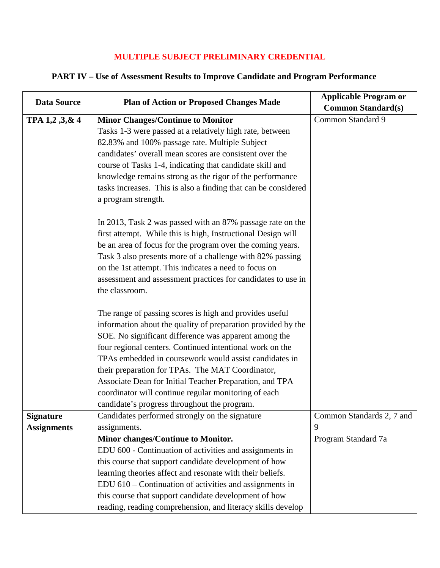## **MULTIPLE SUBJECT PRELIMINARY CREDENTIAL**

## **PART IV – Use of Assessment Results to Improve Candidate and Program Performance**

| <b>Data Source</b> | <b>Plan of Action or Proposed Changes Made</b>                 | <b>Applicable Program or</b> |
|--------------------|----------------------------------------------------------------|------------------------------|
|                    |                                                                | <b>Common Standard(s)</b>    |
| TPA 1,2,3,&4       | <b>Minor Changes/Continue to Monitor</b>                       | Common Standard 9            |
|                    | Tasks 1-3 were passed at a relatively high rate, between       |                              |
|                    | 82.83% and 100% passage rate. Multiple Subject                 |                              |
|                    | candidates' overall mean scores are consistent over the        |                              |
|                    | course of Tasks 1-4, indicating that candidate skill and       |                              |
|                    | knowledge remains strong as the rigor of the performance       |                              |
|                    | tasks increases. This is also a finding that can be considered |                              |
|                    | a program strength.                                            |                              |
|                    | In 2013, Task 2 was passed with an 87% passage rate on the     |                              |
|                    | first attempt. While this is high, Instructional Design will   |                              |
|                    | be an area of focus for the program over the coming years.     |                              |
|                    | Task 3 also presents more of a challenge with 82% passing      |                              |
|                    | on the 1st attempt. This indicates a need to focus on          |                              |
|                    | assessment and assessment practices for candidates to use in   |                              |
|                    | the classroom.                                                 |                              |
|                    |                                                                |                              |
|                    | The range of passing scores is high and provides useful        |                              |
|                    | information about the quality of preparation provided by the   |                              |
|                    | SOE. No significant difference was apparent among the          |                              |
|                    | four regional centers. Continued intentional work on the       |                              |
|                    | TPAs embedded in coursework would assist candidates in         |                              |
|                    | their preparation for TPAs. The MAT Coordinator,               |                              |
|                    | Associate Dean for Initial Teacher Preparation, and TPA        |                              |
|                    | coordinator will continue regular monitoring of each           |                              |
|                    | candidate's progress throughout the program.                   |                              |
| <b>Signature</b>   | Candidates performed strongly on the signature                 | Common Standards 2, 7 and    |
| <b>Assignments</b> | assignments.                                                   | 9                            |
|                    | Minor changes/Continue to Monitor.                             | Program Standard 7a          |
|                    | EDU 600 - Continuation of activities and assignments in        |                              |
|                    | this course that support candidate development of how          |                              |
|                    | learning theories affect and resonate with their beliefs.      |                              |
|                    | $EDU$ 610 – Continuation of activities and assignments in      |                              |
|                    | this course that support candidate development of how          |                              |
|                    | reading, reading comprehension, and literacy skills develop    |                              |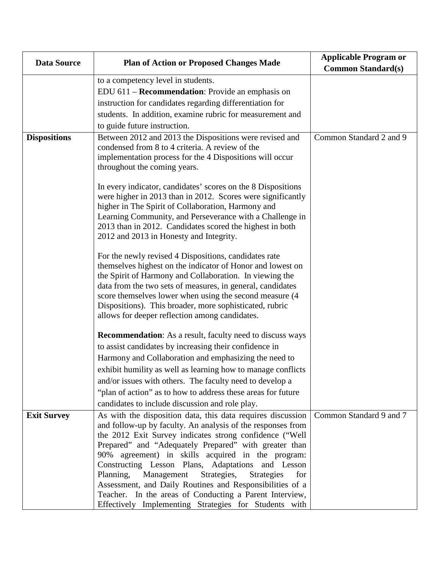| <b>Data Source</b>  | <b>Plan of Action or Proposed Changes Made</b>                                                                                                                                                                                                                                                                                                                                                                                                                                                                                                 | <b>Applicable Program or</b><br><b>Common Standard(s)</b> |
|---------------------|------------------------------------------------------------------------------------------------------------------------------------------------------------------------------------------------------------------------------------------------------------------------------------------------------------------------------------------------------------------------------------------------------------------------------------------------------------------------------------------------------------------------------------------------|-----------------------------------------------------------|
|                     | to a competency level in students.                                                                                                                                                                                                                                                                                                                                                                                                                                                                                                             |                                                           |
|                     | EDU 611 – Recommendation: Provide an emphasis on                                                                                                                                                                                                                                                                                                                                                                                                                                                                                               |                                                           |
|                     | instruction for candidates regarding differentiation for                                                                                                                                                                                                                                                                                                                                                                                                                                                                                       |                                                           |
|                     | students. In addition, examine rubric for measurement and                                                                                                                                                                                                                                                                                                                                                                                                                                                                                      |                                                           |
|                     | to guide future instruction.                                                                                                                                                                                                                                                                                                                                                                                                                                                                                                                   |                                                           |
| <b>Dispositions</b> | Between 2012 and 2013 the Dispositions were revised and<br>condensed from 8 to 4 criteria. A review of the<br>implementation process for the 4 Dispositions will occur<br>throughout the coming years.                                                                                                                                                                                                                                                                                                                                         | Common Standard 2 and 9                                   |
|                     | In every indicator, candidates' scores on the 8 Dispositions<br>were higher in 2013 than in 2012. Scores were significantly<br>higher in The Spirit of Collaboration, Harmony and<br>Learning Community, and Perseverance with a Challenge in<br>2013 than in 2012. Candidates scored the highest in both<br>2012 and 2013 in Honesty and Integrity.                                                                                                                                                                                           |                                                           |
|                     | For the newly revised 4 Dispositions, candidates rate<br>themselves highest on the indicator of Honor and lowest on<br>the Spirit of Harmony and Collaboration. In viewing the<br>data from the two sets of measures, in general, candidates<br>score themselves lower when using the second measure (4<br>Dispositions). This broader, more sophisticated, rubric<br>allows for deeper reflection among candidates.                                                                                                                           |                                                           |
|                     | <b>Recommendation:</b> As a result, faculty need to discuss ways                                                                                                                                                                                                                                                                                                                                                                                                                                                                               |                                                           |
|                     | to assist candidates by increasing their confidence in                                                                                                                                                                                                                                                                                                                                                                                                                                                                                         |                                                           |
|                     | Harmony and Collaboration and emphasizing the need to                                                                                                                                                                                                                                                                                                                                                                                                                                                                                          |                                                           |
|                     | exhibit humility as well as learning how to manage conflicts                                                                                                                                                                                                                                                                                                                                                                                                                                                                                   |                                                           |
|                     | and/or issues with others. The faculty need to develop a                                                                                                                                                                                                                                                                                                                                                                                                                                                                                       |                                                           |
|                     | "plan of action" as to how to address these areas for future                                                                                                                                                                                                                                                                                                                                                                                                                                                                                   |                                                           |
|                     | candidates to include discussion and role play.                                                                                                                                                                                                                                                                                                                                                                                                                                                                                                |                                                           |
| <b>Exit Survey</b>  | As with the disposition data, this data requires discussion<br>and follow-up by faculty. An analysis of the responses from<br>the 2012 Exit Survey indicates strong confidence ("Well<br>Prepared" and "Adequately Prepared" with greater than<br>90% agreement) in skills acquired in the program:<br>Constructing Lesson Plans, Adaptations and Lesson<br>Planning,<br>Management<br>Strategies,<br>Strategies<br>for<br>Assessment, and Daily Routines and Responsibilities of a<br>Teacher. In the areas of Conducting a Parent Interview, | Common Standard 9 and 7                                   |
|                     | Effectively Implementing Strategies for Students with                                                                                                                                                                                                                                                                                                                                                                                                                                                                                          |                                                           |